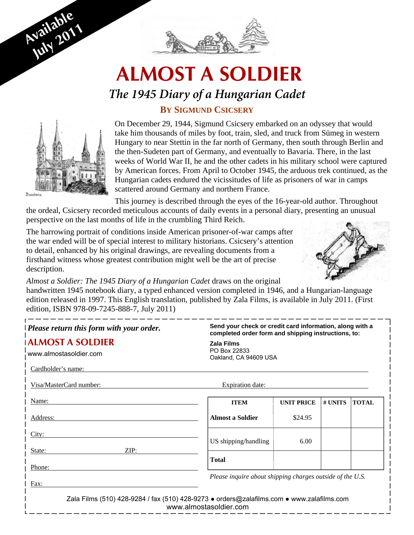

# **ALMOST A SOLDIER**

### *The 1945 Diary of a Hungarian Cadet*

### **BY SIGMUND CSICSERY**



**Available** 

**July <sup>2011</sup>**

On December 29, 1944, Sigmund Csicsery embarked on an odyssey that would take him thousands of miles by foot, train, sled, and truck from Sümeg in western Hungary to near Stettin in the far north of Germany, then south through Berlin and the then-Sudeten part of Germany, and eventually to Bavaria. There, in the last weeks of World War II, he and the other cadets in his military school were captured by American forces. From April to October 1945, the arduous trek continued, as the Hungarian cadets endured the vicissitudes of life as prisoners of war in camps scattered around Germany and northern France.

This journey is described through the eyes of the 16-year-old author. Throughout

the ordeal, Csicsery recorded meticulous accounts of daily events in a personal diary, presenting an unusual perspective on the last months of life in the crumbling Third Reich.

The harrowing portrait of conditions inside American prisoner-of-war camps after the war ended will be of special interest to military historians. Csicsery's attention to detail, enhanced by his original drawings, are revealing documents from a firsthand witness whose greatest contribution might well be the art of precise description.



*Almost a Soldier: The 1945 Diary of a Hungarian Cadet* draws on the original handwritten 1945 notebook diary, a typed enhanced version completed in 1946, and a Hungarian-language edition released in 1997. This English translation, published by Zala Films, is available in July 2011. (First edition, ISBN 978-09-7245-888-7, July 2011)

| $\vert$ Please return this form with your order.                                          | Send your check or credit card information, along with a<br>completed order form and shipping instructions, to: |                   |         |              |
|-------------------------------------------------------------------------------------------|-----------------------------------------------------------------------------------------------------------------|-------------------|---------|--------------|
| <b>ALMOST A SOLDIER</b><br>www.almostasoldier.com                                         | <b>Zala Films</b><br>PO Box 22833<br>Oakland, CA 94609 USA                                                      |                   |         |              |
| Cardholder's name:                                                                        |                                                                                                                 |                   |         |              |
| Visa/MasterCard number:                                                                   | Expiration date:                                                                                                |                   |         |              |
| Name:                                                                                     | <b>ITEM</b>                                                                                                     | <b>UNIT PRICE</b> | # UNITS | <b>TOTAL</b> |
| Address:                                                                                  | <b>Almost a Soldier</b>                                                                                         | \$24.95           |         |              |
| City:                                                                                     | US shipping/handling                                                                                            | 6.00              |         |              |
| ZIP:<br>State:<br>Phone:                                                                  | <b>Total</b>                                                                                                    |                   |         |              |
| Fax:                                                                                      | Please inquire about shipping charges outside of the U.S.                                                       |                   |         |              |
| Zala Films (510) 428-9284 / fax (510) 428-9273 • orders@zalafilms.com • www.zalafilms.com | www.almostasoldier.com                                                                                          |                   |         |              |